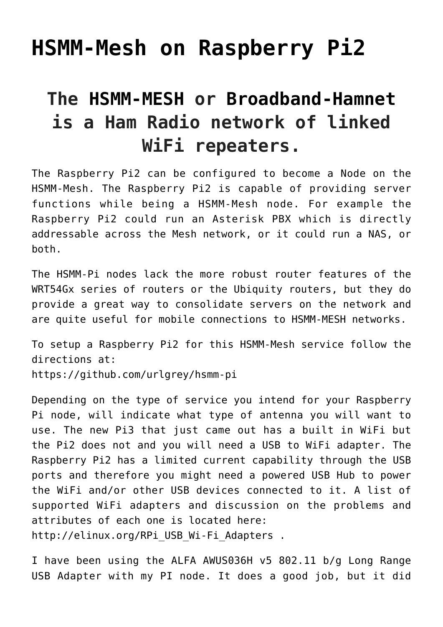## **[HSMM-Mesh on Raspberry Pi2](https://www.ka7u.us/2016/03/07/hsmm-mesh-on-raspberry-pi2/)**

## **The [HSMM-MESH](http://hsmm-mesh.org) or [Broadband-Hamnet](http://http://broadbandhamnet.com/) is a Ham Radio network of linked WiFi repeaters.**

The Raspberry Pi2 can be configured to become a Node on the HSMM-Mesh. The Raspberry Pi2 is capable of providing server functions while being a HSMM-Mesh node. For example the Raspberry Pi2 could run an Asterisk PBX which is directly addressable across the Mesh network, or it could run a NAS, or both.

The [HSMM-Pi](https://github.com/urlgrey/hsmm-pi) nodes lack the more robust router features of the [WRT54Gx](http://broadbandhamnet.com/images/hsmm_docs/WRT54Shop.pdf) series of routers or the [Ubiquity](http://broadbandhamnet.com/images/hsmm_docs/WRT54Shop.pdf) routers, but they do provide a great way to consolidate servers on the network and are quite useful for mobile connections to [HSMM-MESH](http://hsmm-mesh.org/) networks.

To setup a Raspberry Pi2 for this HSMM-Mesh service follow the directions at: <https://github.com/urlgrey/hsmm-pi>

Depending on the type of service you intend for your Raspberry Pi node, will indicate what type of antenna you will want to use. The new Pi3 that just came out has a built in WiFi but the Pi2 does not and you will need a USB to WiFi adapter. The Raspberry Pi2 has a limited current capability through the USB ports and therefore you might need a powered USB Hub to power the WiFi and/or other USB devices connected to it. A list of supported WiFi adapters and discussion on the problems and attributes of each one is located here: http://elinux.org/RPi USB Wi-Fi Adapters .

I have been using the [ALFA AWUS036H v5 802.11 b/g Long Range](http://www.alfa.com.tw/products_show.php?pc=34&ps=92) [USB Adapter](http://www.alfa.com.tw/products_show.php?pc=34&ps=92) with my PI node. It does a good job, but it did